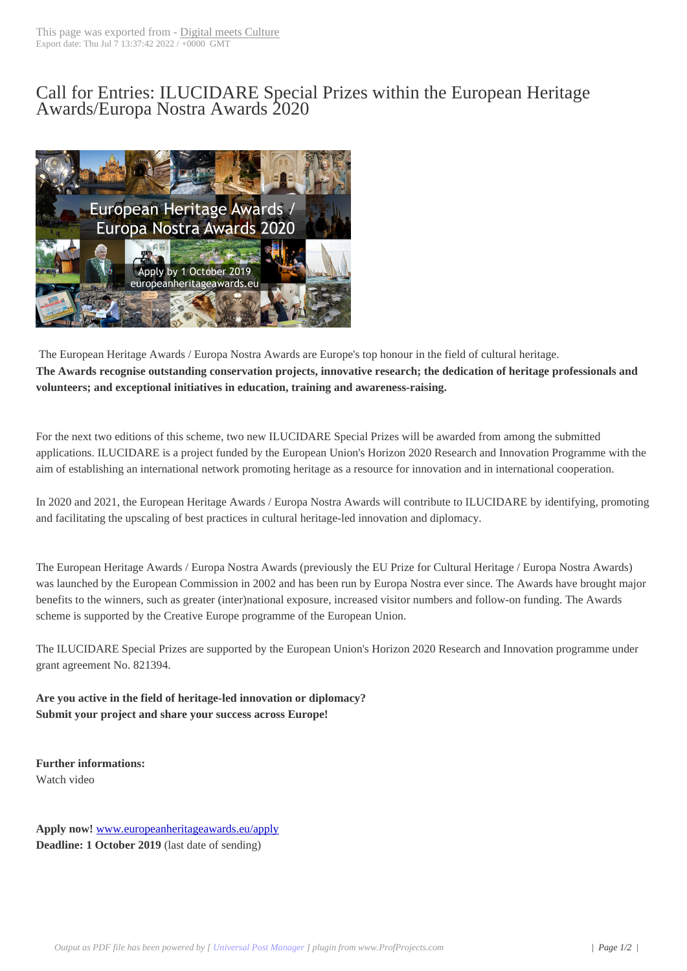## Call for Entries: IL[UCIDARE Sp](http://www.digitalmeetsculture.net/?p=52049)ecial Prizes within the European Heritage Awards/Europa Nostra Awards 2020



 The European Heritage Awards / Europa Nostra Awards are Europe's top honour in the field of cultural heritage. **The Awards recognise outstanding conservation projects, innovative research; the dedication of heritage professionals and volunteers; and exceptional initiatives in education, training and awareness-raising.**

For the next two editions of this scheme, two new ILUCIDARE Special Prizes will be awarded from among the submitted applications. ILUCIDARE is a project funded by the European Union's Horizon 2020 Research and Innovation Programme with the aim of establishing an international network promoting heritage as a resource for innovation and in international cooperation.

In 2020 and 2021, the European Heritage Awards / Europa Nostra Awards will contribute to ILUCIDARE by identifying, promoting and facilitating the upscaling of best practices in cultural heritage-led innovation and diplomacy.

The European Heritage Awards / Europa Nostra Awards (previously the EU Prize for Cultural Heritage / Europa Nostra Awards) was launched by the European Commission in 2002 and has been run by Europa Nostra ever since. The Awards have brought major benefits to the winners, such as greater (inter)national exposure, increased visitor numbers and follow-on funding. The Awards scheme is supported by the Creative Europe programme of the European Union.

The ILUCIDARE Special Prizes are supported by the European Union's Horizon 2020 Research and Innovation programme under grant agreement No. 821394.

**Are you active in the field of heritage-led innovation or diplomacy? Submit your project and share your success across Europe!**

**Further informations:** Watch video

**Apply now!** www.europeanheritageawards.eu/apply **Deadline: 1 October 2019** (last date of sending)